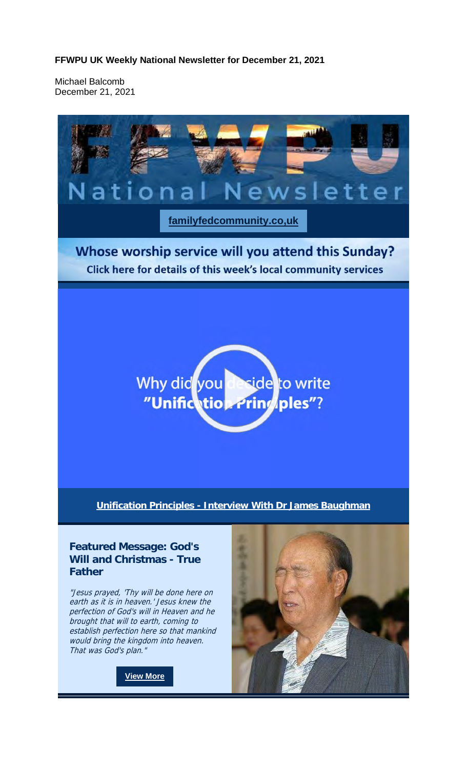**FFWPU UK Weekly National Newsletter for December 21, 2021**

Michael Balcomb December 21, 2021



perfection of God's will in Heaven and he brought that will to earth, coming to establish perfection here so that mankind would bring the kingdom into heaven. That was God's plan."

**View More**

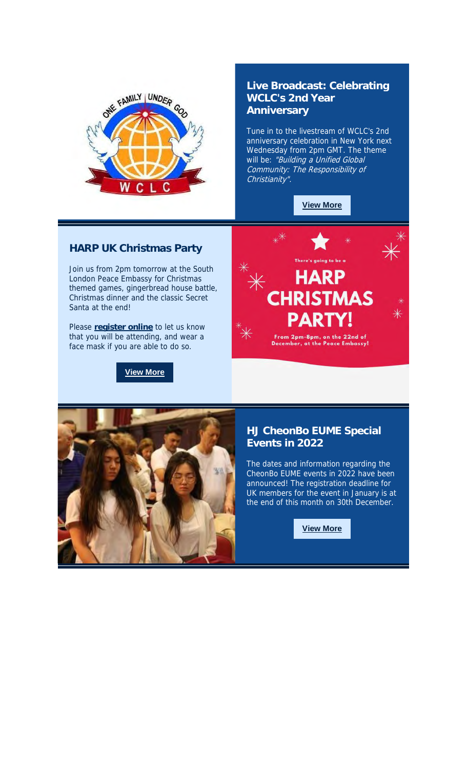

## **Live Broadcast: Celebrating WCLC's 2nd Year Anniversary**

Tune in to the livestream of WCLC's 2nd anniversary celebration in New York next Wednesday from 2pm GMT. The theme will be: "Building a Unified Global Community: The Responsibility of Christianity".

**View More**

## **HARP UK Christmas Party**

Join us from 2pm tomorrow at the South London Peace Embassy for Christmas themed games, gingerbread house battle, Christmas dinner and the classic Secret Santa at the end!

Please **register online** to let us know that you will be attending, and wear a face mask if you are able to do so.

**View More**





## **HJ CheonBo EUME Special Events in 2022**

The dates and information regarding the CheonBo EUME events in 2022 have been announced! The registration deadline for UK members for the event in January is at the end of this month on 30th December.

**View More**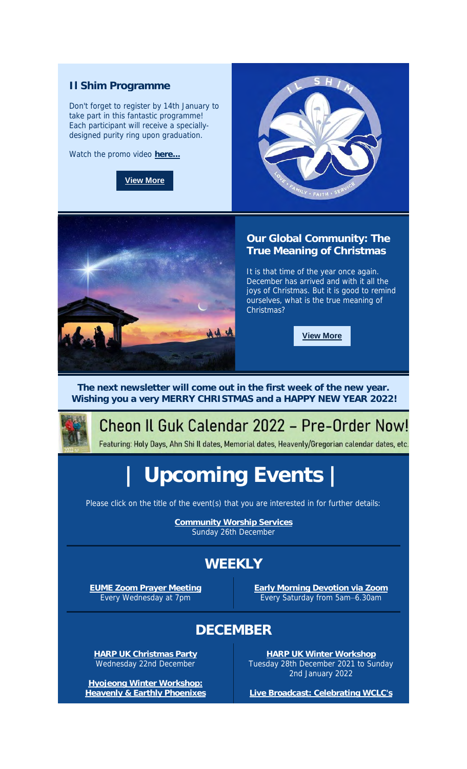